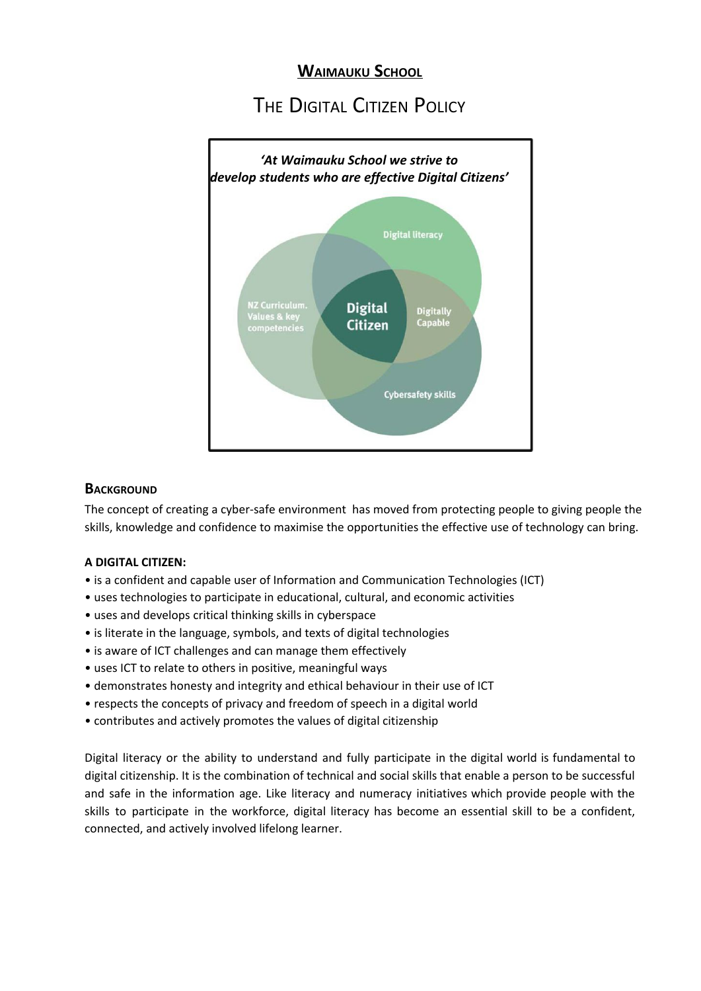# **WAIMAUKU SCHOOL**

# THE DIGITAL CITIZEN POLICY



### **BACKGROUND**

The concept of creating a cyber-safe environment has moved from protecting people to giving people the skills, knowledge and confidence to maximise the opportunities the effective use of technology can bring.

#### **A DIGITAL CITIZEN:**

- is a confident and capable user of Information and Communication Technologies (ICT)
- uses technologies to participate in educational, cultural, and economic activities
- uses and develops critical thinking skills in cyberspace
- is literate in the language, symbols, and texts of digital technologies
- is aware of ICT challenges and can manage them effectively
- uses ICT to relate to others in positive, meaningful ways
- demonstrates honesty and integrity and ethical behaviour in their use of ICT
- respects the concepts of privacy and freedom of speech in a digital world
- contributes and actively promotes the values of digital citizenship

Digital literacy or the ability to understand and fully participate in the digital world is fundamental to digital citizenship. It is the combination of technical and social skills that enable a person to be successful and safe in the information age. Like literacy and numeracy initiatives which provide people with the skills to participate in the workforce, digital literacy has become an essential skill to be a confident, connected, and actively involved lifelong learner.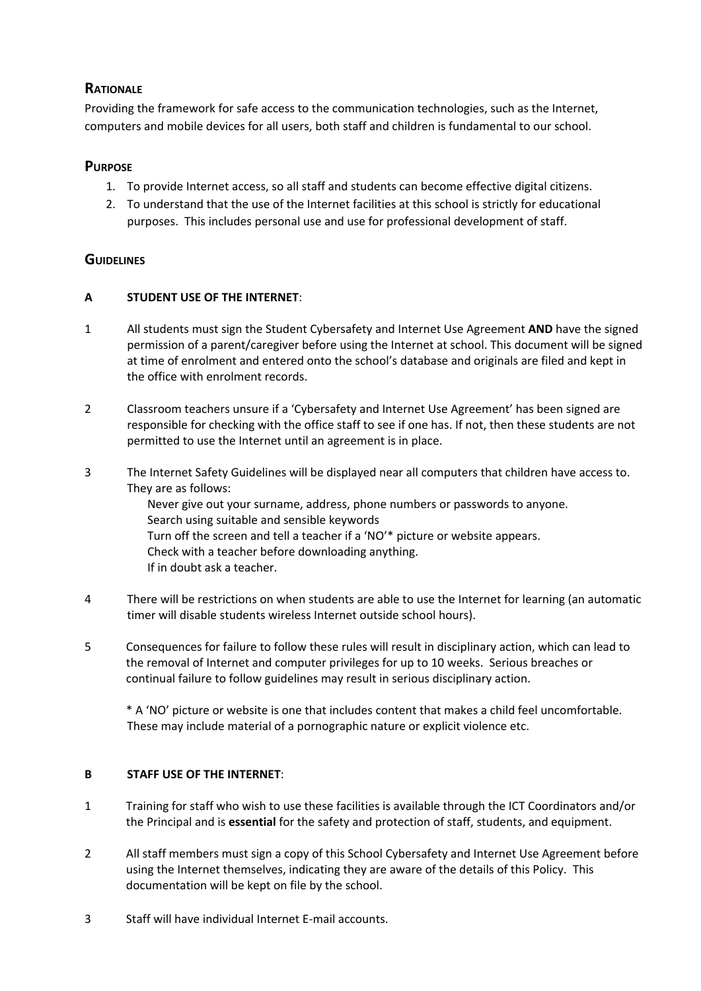## **RATIONALE**

Providing the framework for safe access to the communication technologies, such as the Internet, computers and mobile devices for all users, both staff and children is fundamental to our school.

### **PURPOSE**

- 1. To provide Internet access, so all staff and students can become effective digital citizens.
- 2. To understand that the use of the Internet facilities at this school is strictly for educational purposes. This includes personal use and use for professional development of staff.

## **GUIDELINES**

#### **A STUDENT USE OF THE INTERNET**:

- 1 All students must sign the Student Cybersafety and Internet Use Agreement **AND** have the signed permission of a parent/caregiver before using the Internet at school. This document will be signed at time of enrolment and entered onto the school's database and originals are filed and kept in the office with enrolment records.
- 2 Classroom teachers unsure if a 'Cybersafety and Internet Use Agreement' has been signed are responsible for checking with the office staff to see if one has. If not, then these students are not permitted to use the Internet until an agreement is in place.
- 3 The Internet Safety Guidelines will be displayed near all computers that children have access to. They are as follows:

Never give out your surname, address, phone numbers or passwords to anyone. Search using suitable and sensible keywords Turn off the screen and tell a teacher if a 'NO'\* picture or website appears. Check with a teacher before downloading anything. If in doubt ask a teacher.

- 4 There will be restrictions on when students are able to use the Internet for learning (an automatic timer will disable students wireless Internet outside school hours).
- 5 Consequences for failure to follow these rules will result in disciplinary action, which can lead to the removal of Internet and computer privileges for up to 10 weeks. Serious breaches or continual failure to follow guidelines may result in serious disciplinary action.

\* A 'NO' picture or website is one that includes content that makes a child feel uncomfortable. These may include material of a pornographic nature or explicit violence etc.

#### **B STAFF USE OF THE INTERNET**:

- 1 Training for staff who wish to use these facilities is available through the ICT Coordinators and/or the Principal and is **essential** for the safety and protection of staff, students, and equipment.
- 2 All staff members must sign a copy of this School Cybersafety and Internet Use Agreement before using the Internet themselves, indicating they are aware of the details of this Policy. This documentation will be kept on file by the school.
- 3 Staff will have individual Internet E-mail accounts.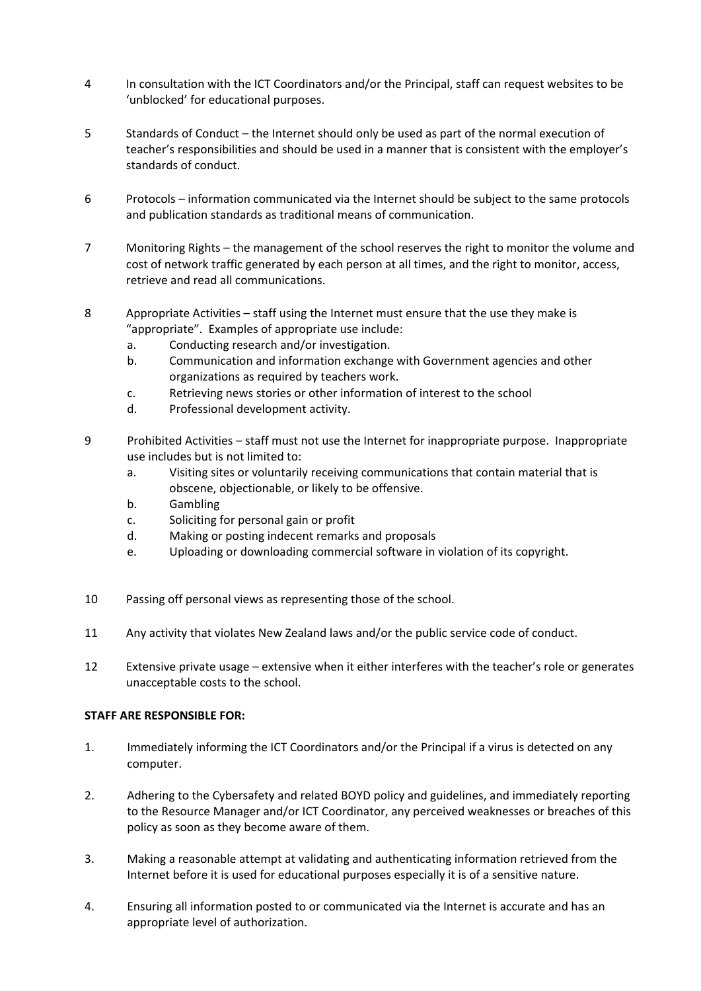- 4 In consultation with the ICT Coordinators and/or the Principal, staff can request websites to be 'unblocked' for educational purposes.
- 5 Standards of Conduct the Internet should only be used as part of the normal execution of teacher's responsibilities and should be used in a manner that is consistent with the employer's standards of conduct.
- 6 Protocols information communicated via the Internet should be subject to the same protocols and publication standards as traditional means of communication.
- 7 Monitoring Rights the management of the school reserves the right to monitor the volume and cost of network traffic generated by each person at all times, and the right to monitor, access, retrieve and read all communications.
- 8 Appropriate Activities staff using the Internet must ensure that the use they make is "appropriate". Examples of appropriate use include:
	- a. Conducting research and/or investigation.
	- b. Communication and information exchange with Government agencies and other organizations as required by teachers work.
	- c. Retrieving news stories or other information of interest to the school
	- d. Professional development activity.
- 9 Prohibited Activities staff must not use the Internet for inappropriate purpose. Inappropriate use includes but is not limited to:
	- a. Visiting sites or voluntarily receiving communications that contain material that is obscene, objectionable, or likely to be offensive.
	- b. Gambling
	- c. Soliciting for personal gain or profit
	- d. Making or posting indecent remarks and proposals
	- e. Uploading or downloading commercial software in violation of its copyright.
- 10 Passing off personal views as representing those of the school.
- 11 Any activity that violates New Zealand laws and/or the public service code of conduct.
- 12 Extensive private usage extensive when it either interferes with the teacher's role or generates unacceptable costs to the school.

#### **STAFF ARE RESPONSIBLE FOR:**

- 1. Immediately informing the ICT Coordinators and/or the Principal if a virus is detected on any computer.
- 2. Adhering to the Cybersafety and related BOYD policy and guidelines, and immediately reporting to the Resource Manager and/or ICT Coordinator, any perceived weaknesses or breaches of this policy as soon as they become aware of them.
- 3. Making a reasonable attempt at validating and authenticating information retrieved from the Internet before it is used for educational purposes especially it is of a sensitive nature.
- 4. Ensuring all information posted to or communicated via the Internet is accurate and has an appropriate level of authorization.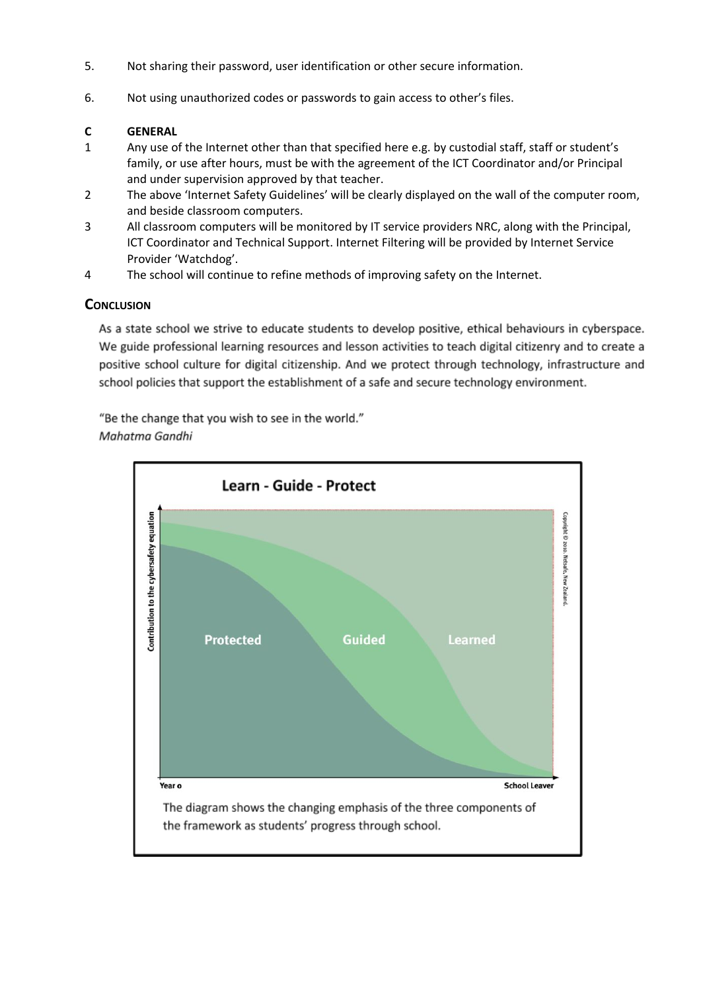- 5. Not sharing their password, user identification or other secure information.
- 6. Not using unauthorized codes or passwords to gain access to other's files.

#### **C GENERAL**

- 1 Any use of the Internet other than that specified here e.g. by custodial staff, staff or student's family, or use after hours, must be with the agreement of the ICT Coordinator and/or Principal and under supervision approved by that teacher.
- 2 The above 'Internet Safety Guidelines' will be clearly displayed on the wall of the computer room, and beside classroom computers.
- 3 All classroom computers will be monitored by IT service providers NRC, along with the Principal, ICT Coordinator and Technical Support. Internet Filtering will be provided by Internet Service Provider 'Watchdog'.
- 4 The school will continue to refine methods of improving safety on the Internet.

### **CONCLUSION**

As a state school we strive to educate students to develop positive, ethical behaviours in cyberspace. We guide professional learning resources and lesson activities to teach digital citizenry and to create a positive school culture for digital citizenship. And we protect through technology, infrastructure and school policies that support the establishment of a safe and secure technology environment.

"Be the change that you wish to see in the world." Mahatma Gandhi

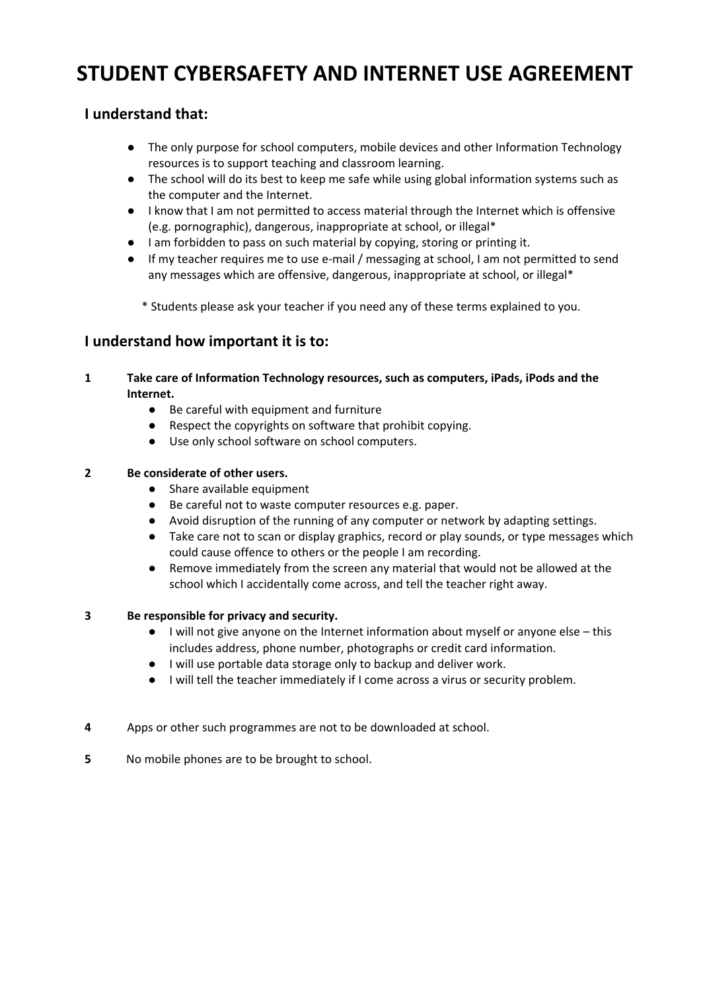# **STUDENT CYBERSAFETY AND INTERNET USE AGREEMENT**

## **I understand that:**

- The only purpose for school computers, mobile devices and other Information Technology resources is to support teaching and classroom learning.
- The school will do its best to keep me safe while using global information systems such as the computer and the Internet.
- I know that I am not permitted to access material through the Internet which is offensive (e.g. pornographic), dangerous, inappropriate at school, or illegal\*
- I am forbidden to pass on such material by copying, storing or printing it.
- If my teacher requires me to use e-mail / messaging at school, I am not permitted to send any messages which are offensive, dangerous, inappropriate at school, or illegal\*
	- \* Students please ask your teacher if you need any of these terms explained to you.

## **I understand how important it is to:**

- **1 Take care of Information Technology resources, such as computers, iPads, iPods and the Internet.**
	- Be careful with equipment and furniture
	- Respect the copyrights on software that prohibit copying.
	- Use only school software on school computers.

#### **2 Be considerate of other users.**

- Share available equipment
- Be careful not to waste computer resources e.g. paper.
- Avoid disruption of the running of any computer or network by adapting settings.
- Take care not to scan or display graphics, record or play sounds, or type messages which could cause offence to others or the people I am recording.
- Remove immediately from the screen any material that would not be allowed at the school which I accidentally come across, and tell the teacher right away.

#### **3 Be responsible for privacy and security.**

- I will not give anyone on the Internet information about myself or anyone else this includes address, phone number, photographs or credit card information.
- I will use portable data storage only to backup and deliver work.
- I will tell the teacher immediately if I come across a virus or security problem.
- **4** Apps or other such programmes are not to be downloaded at school.
- **5** No mobile phones are to be brought to school.